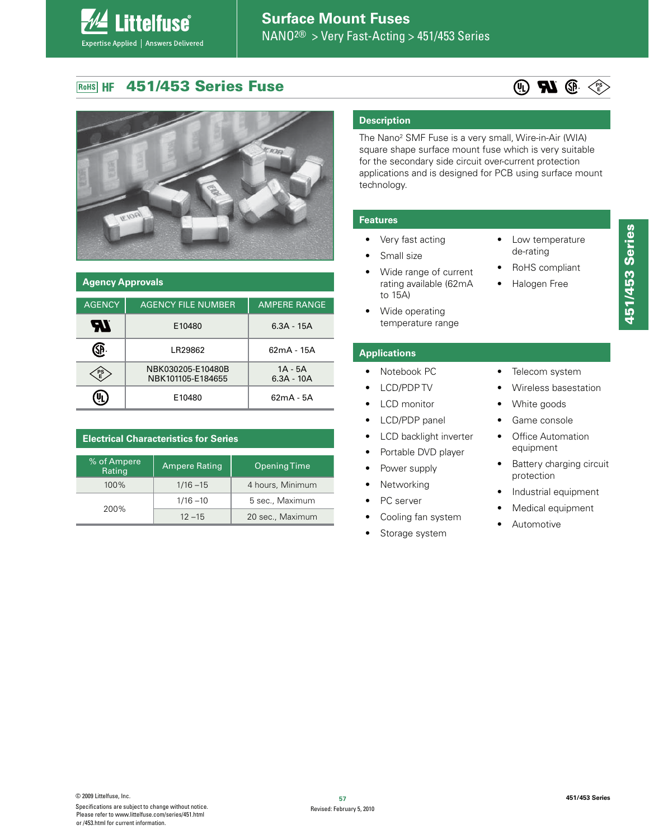#### **451/453 Series Fuse RoHS HF**

*<u>ittelfuse</u>* 

Expertise Applied | Answers Delivered



| <b>Agency Approvals</b> |                                        |                           |  |  |
|-------------------------|----------------------------------------|---------------------------|--|--|
| <b>AGENCY</b>           | <b>AGENCY FILE NUMBER</b>              | <b>AMPERE RANGE</b>       |  |  |
|                         | E10480                                 | $6.3A - 15A$              |  |  |
|                         | I R29862                               | $62mA - 15A$              |  |  |
| 멸                       | NBK030205-E10480B<br>NBK101105-E184655 | $1A - 5A$<br>$6.3A - 10A$ |  |  |
|                         | E10480                                 | 62mA - 5A                 |  |  |

| <b>Electrical Characteristics for Series</b> |                      |                     |  |  |
|----------------------------------------------|----------------------|---------------------|--|--|
| % of Ampere<br>Rating                        | <b>Ampere Rating</b> | <b>Opening Time</b> |  |  |
| 100%                                         | $1/16 - 15$          | 4 hours, Minimum    |  |  |
| 200%                                         | $1/16 - 10$          | 5 sec., Maximum     |  |  |
|                                              | $12 - 15$            | 20 sec., Maximum    |  |  |

# **Description**

The Nano<sup>2</sup> SMF Fuse is a very small, Wire-in-Air (WIA) square shape surface mount fuse which is very suitable for the secondary side circuit over-current protection applications and is designed for PCB using surface mount technology.

 $\bullet$ 

 $\bullet$ 

 $\bullet$ 

 $\bullet$ 

#### **Features**

- Very fast acting
- Small size
- Wide range of current rating available (62mA to 15A)
- Wide operating  $\bullet$ temperature range

#### **Applications**

- Notebook PC  $\bullet$
- **LCD/PDPTV**
- LCD monitor
- LCD/PDP panel  $\bullet$
- LCD backlight inverter
- Portable DVD player
- Power supply
	- Networking
- PC server
- Cooling fan system
- Storage system
- 451/453 Series
- Telecom system

Low temperature de-rating

RoHS compliant

Halogen Free

Wireless basestation  $\bullet$ 

 $\circledR$   $\circledR$   $\circledR$ 

- White goods  $\bullet$
- $\bullet$ Game console
- Office Automation  $\bullet$ equipment
- $\bullet$ Battery charging circuit protection
- Industrial equipment  $\bullet$
- Medical equipment  $\bullet$
- Automotive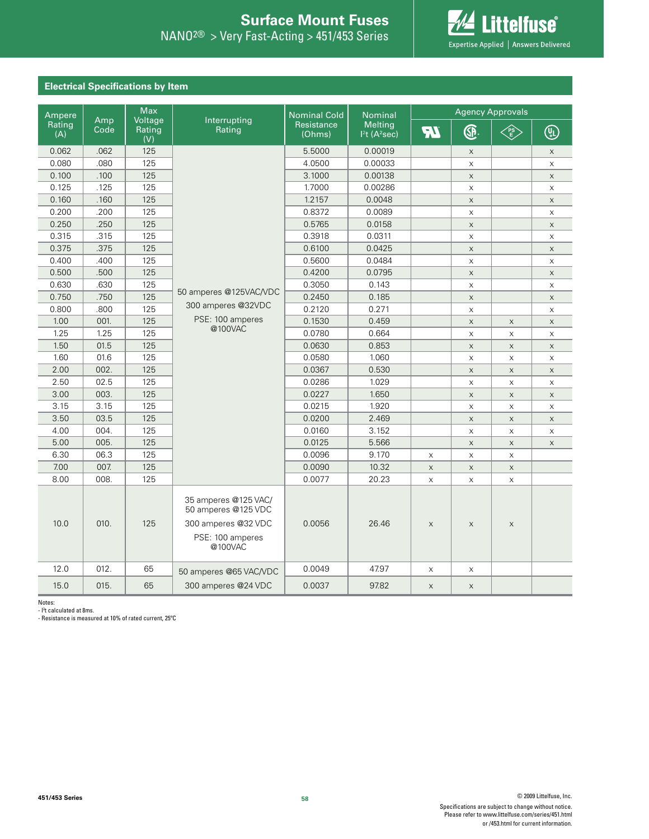

# **Electrical Specifications by Item**

| Ampere        |             |                          | <b>Max</b>                                                                                        | <b>Nominal Cold</b><br><b>Nominal</b> |                                              | <b>Agency Approvals</b> |                           |             |                           |
|---------------|-------------|--------------------------|---------------------------------------------------------------------------------------------------|---------------------------------------|----------------------------------------------|-------------------------|---------------------------|-------------|---------------------------|
| Rating<br>(A) | Amp<br>Code | Voltage<br>Rating<br>(V) | Interrupting<br>Rating                                                                            | Resistance<br>(Ohms)                  | <b>Melting</b><br>$12t$ (A <sup>2</sup> sec) | <b>TR</b>               | GP.                       | <b>CASE</b> | ௵                         |
| 0.062         | .062        | 125                      |                                                                                                   | 5.5000                                | 0.00019                                      |                         | $\times$                  |             | X                         |
| 0.080         | .080        | 125                      |                                                                                                   | 4.0500                                | 0.00033                                      |                         | $\mathsf X$               |             | $\times$                  |
| 0.100         | .100        | 125                      |                                                                                                   | 3.1000                                | 0.00138                                      |                         | $\mathsf X$               |             | $\times$                  |
| 0.125         | .125        | 125                      |                                                                                                   | 1.7000                                | 0.00286                                      |                         | $\mathsf X$               |             | $\mathsf X$               |
| 0.160         | .160        | 125                      |                                                                                                   | 1.2157                                | 0.0048                                       |                         | $\mathsf X$               |             | $\mathsf X$               |
| 0.200         | .200        | 125                      |                                                                                                   | 0.8372                                | 0.0089                                       |                         | $\boldsymbol{\mathsf{X}}$ |             | X                         |
| 0.250         | .250        | 125                      |                                                                                                   | 0.5765                                | 0.0158                                       |                         | $\mathsf X$               |             | $\mathsf X$               |
| 0.315         | .315        | 125                      |                                                                                                   | 0.3918                                | 0.0311                                       |                         | $\mathsf{X}$              |             | $\times$                  |
| 0.375         | .375        | 125                      |                                                                                                   | 0.6100                                | 0.0425                                       |                         | $\mathsf X$               |             | $\mathsf X$               |
| 0.400         | .400        | 125                      |                                                                                                   | 0.5600                                | 0.0484                                       |                         | X                         |             | $\mathsf X$               |
| 0.500         | .500        | 125                      |                                                                                                   | 0.4200                                | 0.0795                                       |                         | $\mathsf X$               |             | $\mathsf X$               |
| 0.630         | .630        | 125                      | 50 amperes @125VAC/VDC                                                                            | 0.3050                                | 0.143                                        |                         | $\mathsf X$               |             | X                         |
| 0.750         | .750        | 125                      |                                                                                                   | 0.2450                                | 0.185                                        |                         | $\mathsf X$               |             | $\mathsf{X}$              |
| 0.800         | .800        | 125                      | 300 amperes @32VDC                                                                                | 0.2120                                | 0.271                                        |                         | $\mathsf X$               |             | X                         |
| 1.00          | 001.        | 125                      | PSE: 100 amperes                                                                                  | 0.1530                                | 0.459                                        |                         | $\mathsf X$               | $\mathsf X$ | $\mathsf X$               |
| 1.25          | 1.25        | 125                      | @100VAC                                                                                           | 0.0780                                | 0.664                                        |                         | $\mathsf X$               | X           | X                         |
| 1.50          | 01.5        | 125                      |                                                                                                   | 0.0630                                | 0.853                                        |                         | $\mathsf X$               | $\mathsf X$ | $\mathsf X$               |
| 1.60          | 01.6        | 125                      |                                                                                                   | 0.0580                                | 1.060                                        |                         | $\mathsf X$               | $\mathsf X$ | $\boldsymbol{\mathsf{X}}$ |
| 2.00          | 002.        | 125                      |                                                                                                   | 0.0367                                | 0.530                                        |                         | $\mathsf X$               | $\mathsf X$ | X                         |
| 2.50          | 02.5        | 125                      |                                                                                                   | 0.0286                                | 1.029                                        |                         | $\mathsf X$               | X           | $\mathsf X$               |
| 3.00          | 003.        | 125                      |                                                                                                   | 0.0227                                | 1.650                                        |                         | $\mathsf X$               | $\mathsf X$ | $\mathsf X$               |
| 3.15          | 3.15        | 125                      |                                                                                                   | 0.0215                                | 1.920                                        |                         | $\mathsf X$               | X           | X                         |
| 3.50          | 03.5        | 125                      |                                                                                                   | 0.0200                                | 2.469                                        |                         | $\mathsf X$               | $\mathsf X$ | X                         |
| 4.00          | 004.        | 125                      |                                                                                                   | 0.0160                                | 3.152                                        |                         | $\mathsf X$               | $\mathsf X$ | X                         |
| 5.00          | 005.        | 125                      |                                                                                                   | 0.0125                                | 5.566                                        |                         | $\mathsf X$               | X           | $\times$                  |
| 6.30          | 06.3        | 125                      |                                                                                                   | 0.0096                                | 9.170                                        | X                       | X                         | X           |                           |
| 7.00          | 007.        | 125                      |                                                                                                   | 0.0090                                | 10.32                                        | $\times$                | $\mathsf X$               | $\mathsf X$ |                           |
| 8.00          | 008.        | 125                      |                                                                                                   | 0.0077                                | 20.23                                        | X                       | X                         | X           |                           |
| 10.0          | 010.        | 125                      | 35 amperes @125 VAC/<br>50 amperes @125 VDC<br>300 amperes @32 VDC<br>PSE: 100 amperes<br>@100VAC | 0.0056                                | 26.46                                        | $\mathsf X$             | $\mathsf X$               | $\mathsf X$ |                           |
| 12.0          | 012.        | 65                       | 50 amperes @65 VAC/VDC                                                                            | 0.0049                                | 47.97                                        | X                       | X                         |             |                           |
| 15.0          | 015.        | 65                       | 300 amperes @24 VDC                                                                               | 0.0037                                | 97.82                                        | X                       | $\mathsf X$               |             |                           |

Notes:

- l<sup>2</sup>t calculated at 8ms. - Resistance is measured at 10% of rated current, 25ºC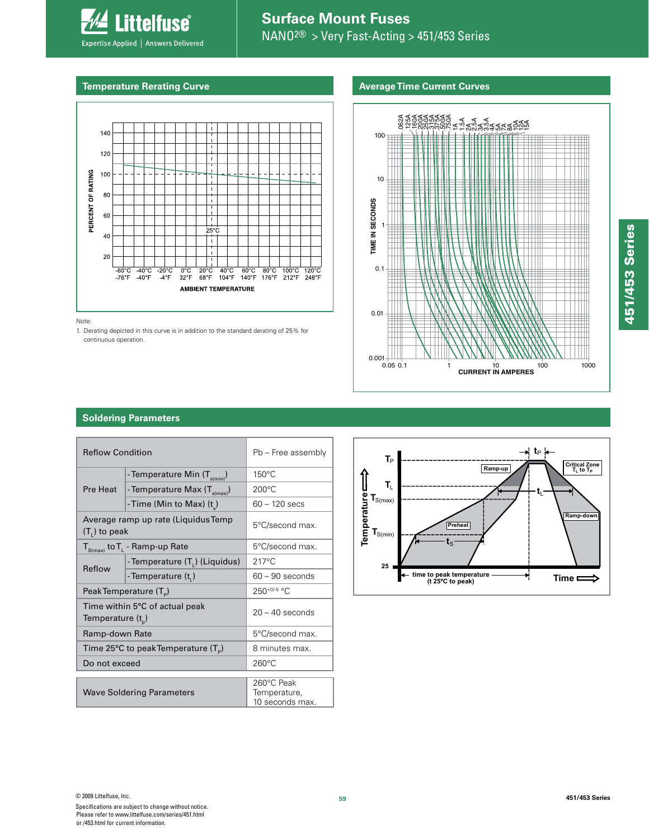

Expertise Applied | Answers Delivered

Littelfuse®

## **Average Time Current Curves**



Note:

1. Derating depicted in this curve is in addition to the standard derating of 25% for continuous operation.



## **Soldering Parameters**

| <b>Reflow Condition</b>                                 |                                             | Pb - Free assembly                            |  |  |
|---------------------------------------------------------|---------------------------------------------|-----------------------------------------------|--|--|
|                                                         | - Temperature Min (T <sub>s(min)</sub> )    | $150^{\circ}$ C                               |  |  |
| Pre Heat                                                | - Temperature Max (T <sub>s(max)</sub> )    | $200^{\circ}$ C                               |  |  |
|                                                         | -Time (Min to Max) (t)                      | $60 - 120$ secs                               |  |  |
| Average ramp up rate (Liquidus Temp<br>$(T1)$ to peak   |                                             | 5°C/second max.                               |  |  |
|                                                         | $T_{S(max)}$ to $T_{L}$ - Ramp-up Rate      | 5°C/second max.                               |  |  |
| Reflow                                                  | -Temperature (T.) (Liquidus)                | $217^{\circ}$ C                               |  |  |
|                                                         | -Temperature (t,)                           | $60 - 90$ seconds                             |  |  |
| Peak Temperature $(T_p)$                                |                                             | $250^{+0/5}$ °C                               |  |  |
| Time within 5°C of actual peak<br>Temperature $(t_{p})$ |                                             | $20 - 40$ seconds                             |  |  |
| Ramp-down Rate                                          |                                             | 5°C/second max.                               |  |  |
|                                                         | Time 25°C to peak Temperature $(T_{\circ})$ | 8 minutes max.                                |  |  |
| Do not exceed                                           |                                             | $260^{\circ}$ C                               |  |  |
| <b>Wave Soldering Parameters</b>                        |                                             | 260°C Peak<br>Temperature,<br>10 seconds max. |  |  |
|                                                         |                                             |                                               |  |  |